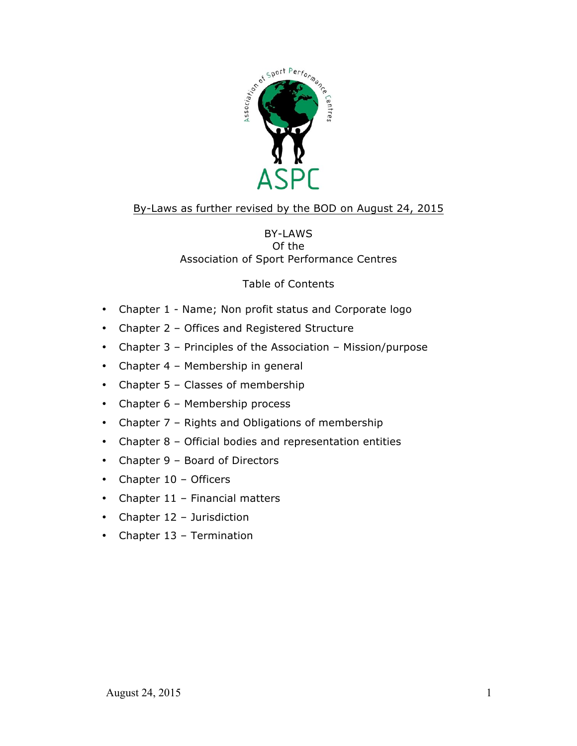

# By-Laws as further revised by the BOD on August 24, 2015

# BY-LAWS Of the Association of Sport Performance Centres

# Table of Contents

- Chapter 1 Name; Non profit status and Corporate logo
- Chapter 2 Offices and Registered Structure
- Chapter 3 Principles of the Association Mission/purpose
- Chapter 4 Membership in general
- Chapter 5 Classes of membership
- Chapter 6 Membership process
- Chapter 7 Rights and Obligations of membership
- Chapter 8 Official bodies and representation entities
- Chapter 9 Board of Directors
- Chapter 10 Officers
- Chapter 11 Financial matters
- Chapter 12 Jurisdiction
- Chapter 13 Termination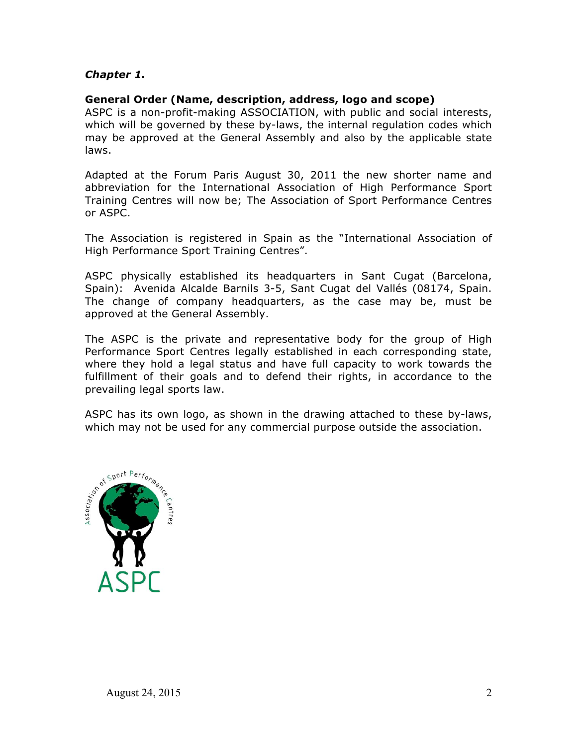# *Chapter 1.*

#### **General Order (Name, description, address, logo and scope)**

ASPC is a non-profit-making ASSOCIATION, with public and social interests, which will be governed by these by-laws, the internal regulation codes which may be approved at the General Assembly and also by the applicable state laws.

Adapted at the Forum Paris August 30, 2011 the new shorter name and abbreviation for the International Association of High Performance Sport Training Centres will now be; The Association of Sport Performance Centres or ASPC.

The Association is registered in Spain as the "International Association of High Performance Sport Training Centres".

ASPC physically established its headquarters in Sant Cugat (Barcelona, Spain): Avenida Alcalde Barnils 3-5, Sant Cugat del Vallés (08174, Spain. The change of company headquarters, as the case may be, must be approved at the General Assembly.

The ASPC is the private and representative body for the group of High Performance Sport Centres legally established in each corresponding state, where they hold a legal status and have full capacity to work towards the fulfillment of their goals and to defend their rights, in accordance to the prevailing legal sports law.

ASPC has its own logo, as shown in the drawing attached to these by-laws, which may not be used for any commercial purpose outside the association.

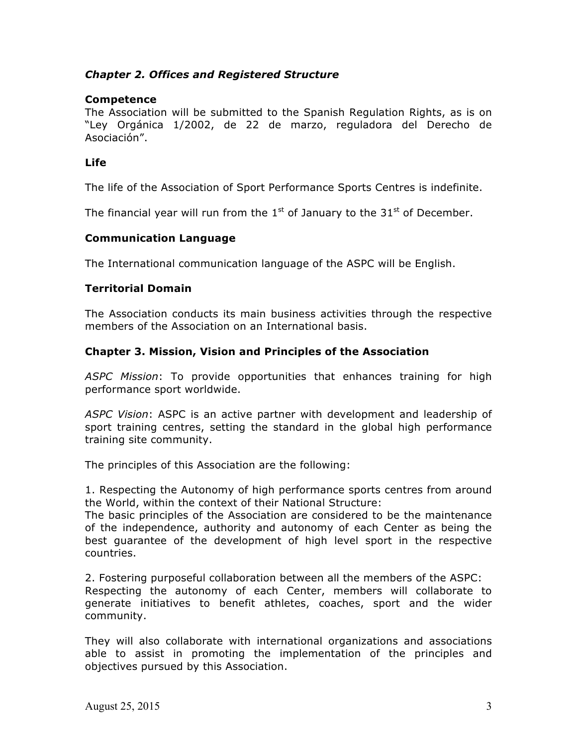# *Chapter 2. Offices and Registered Structure*

# **Competence**

The Association will be submitted to the Spanish Regulation Rights, as is on "Ley Orgánica 1/2002, de 22 de marzo, reguladora del Derecho de Asociación".

### **Life**

The life of the Association of Sport Performance Sports Centres is indefinite.

The financial year will run from the  $1<sup>st</sup>$  of January to the  $31<sup>st</sup>$  of December.

#### **Communication Language**

The International communication language of the ASPC will be English.

# **Territorial Domain**

The Association conducts its main business activities through the respective members of the Association on an International basis.

# **Chapter 3. Mission, Vision and Principles of the Association**

*ASPC Mission*: To provide opportunities that enhances training for high performance sport worldwide.

*ASPC Vision*: ASPC is an active partner with development and leadership of sport training centres, setting the standard in the global high performance training site community.

The principles of this Association are the following:

1. Respecting the Autonomy of high performance sports centres from around the World, within the context of their National Structure:

The basic principles of the Association are considered to be the maintenance of the independence, authority and autonomy of each Center as being the best guarantee of the development of high level sport in the respective countries.

2. Fostering purposeful collaboration between all the members of the ASPC: Respecting the autonomy of each Center, members will collaborate to generate initiatives to benefit athletes, coaches, sport and the wider community.

They will also collaborate with international organizations and associations able to assist in promoting the implementation of the principles and objectives pursued by this Association.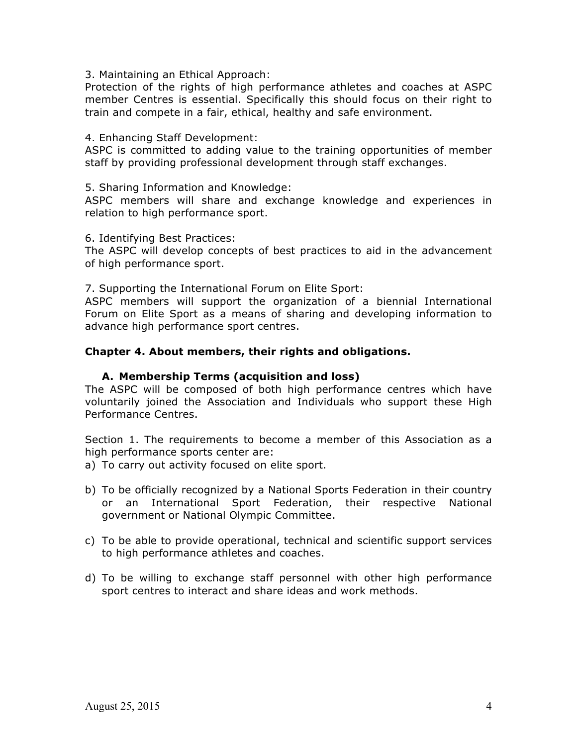3. Maintaining an Ethical Approach:

Protection of the rights of high performance athletes and coaches at ASPC member Centres is essential. Specifically this should focus on their right to train and compete in a fair, ethical, healthy and safe environment.

4. Enhancing Staff Development:

ASPC is committed to adding value to the training opportunities of member staff by providing professional development through staff exchanges.

5. Sharing Information and Knowledge:

ASPC members will share and exchange knowledge and experiences in relation to high performance sport.

6. Identifying Best Practices:

The ASPC will develop concepts of best practices to aid in the advancement of high performance sport.

7. Supporting the International Forum on Elite Sport:

ASPC members will support the organization of a biennial International Forum on Elite Sport as a means of sharing and developing information to advance high performance sport centres.

#### **Chapter 4. About members, their rights and obligations.**

#### **A. Membership Terms (acquisition and loss)**

The ASPC will be composed of both high performance centres which have voluntarily joined the Association and Individuals who support these High Performance Centres.

Section 1. The requirements to become a member of this Association as a high performance sports center are:

- a) To carry out activity focused on elite sport.
- b) To be officially recognized by a National Sports Federation in their country or an International Sport Federation, their respective National government or National Olympic Committee.
- c) To be able to provide operational, technical and scientific support services to high performance athletes and coaches.
- d) To be willing to exchange staff personnel with other high performance sport centres to interact and share ideas and work methods.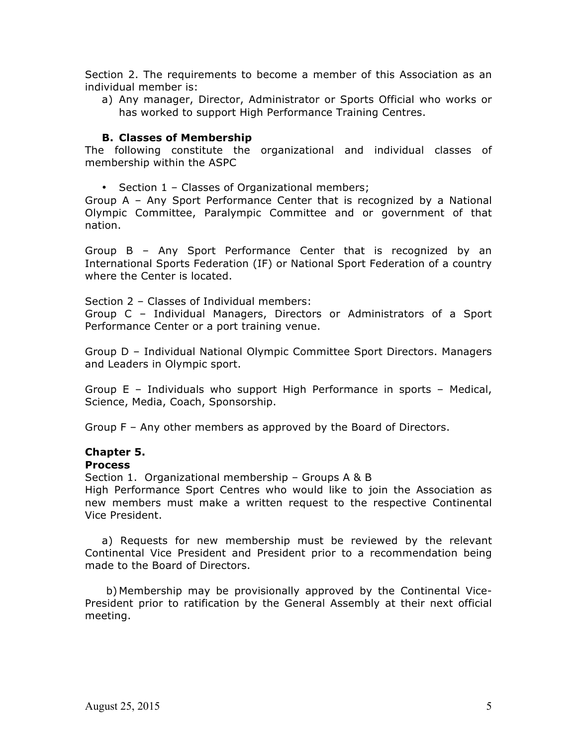Section 2. The requirements to become a member of this Association as an individual member is:

a) Any manager, Director, Administrator or Sports Official who works or has worked to support High Performance Training Centres.

#### **B. Classes of Membership**

The following constitute the organizational and individual classes of membership within the ASPC

• Section 1 – Classes of Organizational members;

Group A – Any Sport Performance Center that is recognized by a National Olympic Committee, Paralympic Committee and or government of that nation.

Group B – Any Sport Performance Center that is recognized by an International Sports Federation (IF) or National Sport Federation of a country where the Center is located.

Section 2 – Classes of Individual members:

Group C – Individual Managers, Directors or Administrators of a Sport Performance Center or a port training venue.

Group D – Individual National Olympic Committee Sport Directors. Managers and Leaders in Olympic sport.

Group E – Individuals who support High Performance in sports – Medical, Science, Media, Coach, Sponsorship.

Group F – Any other members as approved by the Board of Directors.

#### **Chapter 5.**

#### **Process**

Section 1. Organizational membership – Groups A & B

High Performance Sport Centres who would like to join the Association as new members must make a written request to the respective Continental Vice President.

a) Requests for new membership must be reviewed by the relevant Continental Vice President and President prior to a recommendation being made to the Board of Directors.

b) Membership may be provisionally approved by the Continental Vice-President prior to ratification by the General Assembly at their next official meeting.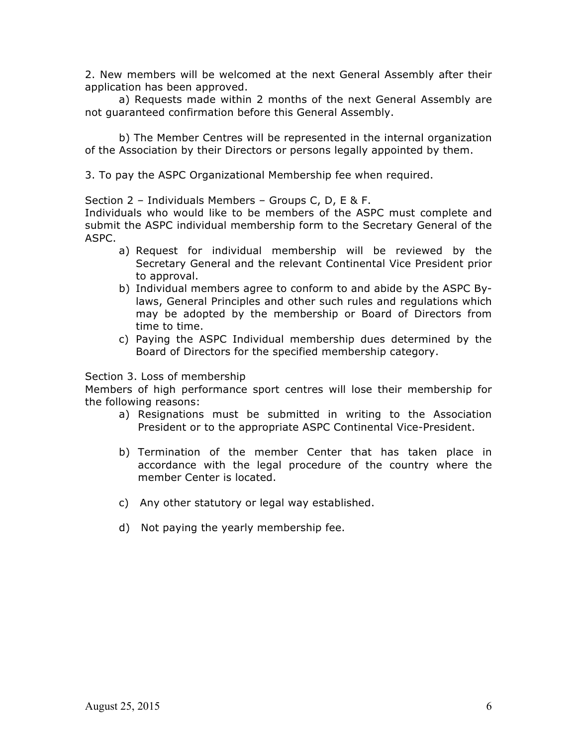2. New members will be welcomed at the next General Assembly after their application has been approved.

a) Requests made within 2 months of the next General Assembly are not guaranteed confirmation before this General Assembly.

b) The Member Centres will be represented in the internal organization of the Association by their Directors or persons legally appointed by them.

3. To pay the ASPC Organizational Membership fee when required.

Section 2 – Individuals Members – Groups C, D, E & F.

Individuals who would like to be members of the ASPC must complete and submit the ASPC individual membership form to the Secretary General of the ASPC.

- a) Request for individual membership will be reviewed by the Secretary General and the relevant Continental Vice President prior to approval.
- b) Individual members agree to conform to and abide by the ASPC Bylaws, General Principles and other such rules and regulations which may be adopted by the membership or Board of Directors from time to time.
- c) Paying the ASPC Individual membership dues determined by the Board of Directors for the specified membership category.

#### Section 3. Loss of membership

Members of high performance sport centres will lose their membership for the following reasons:

- a) Resignations must be submitted in writing to the Association President or to the appropriate ASPC Continental Vice-President.
- b) Termination of the member Center that has taken place in accordance with the legal procedure of the country where the member Center is located.
- c) Any other statutory or legal way established.
- d) Not paying the yearly membership fee.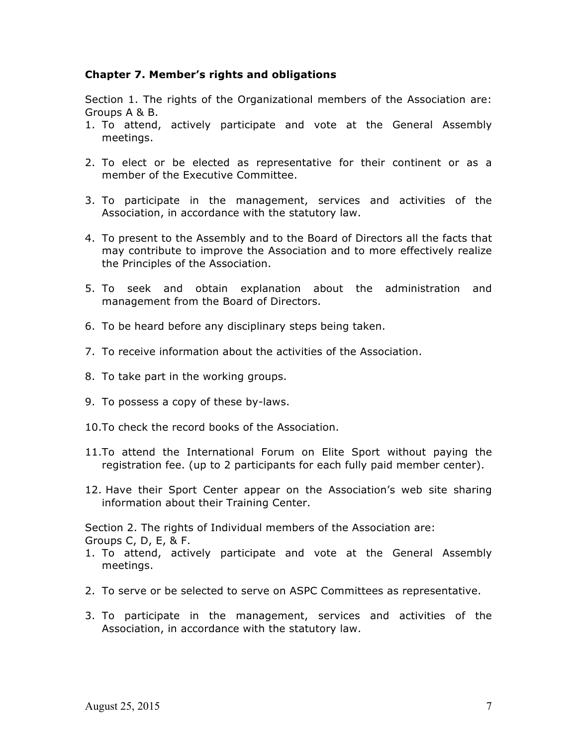## **Chapter 7. Member's rights and obligations**

Section 1. The rights of the Organizational members of the Association are: Groups A & B.

- 1. To attend, actively participate and vote at the General Assembly meetings.
- 2. To elect or be elected as representative for their continent or as a member of the Executive Committee.
- 3. To participate in the management, services and activities of the Association, in accordance with the statutory law.
- 4. To present to the Assembly and to the Board of Directors all the facts that may contribute to improve the Association and to more effectively realize the Principles of the Association.
- 5. To seek and obtain explanation about the administration and management from the Board of Directors.
- 6. To be heard before any disciplinary steps being taken.
- 7. To receive information about the activities of the Association.
- 8. To take part in the working groups.
- 9. To possess a copy of these by-laws.
- 10.To check the record books of the Association.
- 11.To attend the International Forum on Elite Sport without paying the registration fee. (up to 2 participants for each fully paid member center).
- 12. Have their Sport Center appear on the Association's web site sharing information about their Training Center.

Section 2. The rights of Individual members of the Association are: Groups C, D, E, & F.

- 1. To attend, actively participate and vote at the General Assembly meetings.
- 2. To serve or be selected to serve on ASPC Committees as representative.
- 3. To participate in the management, services and activities of the Association, in accordance with the statutory law.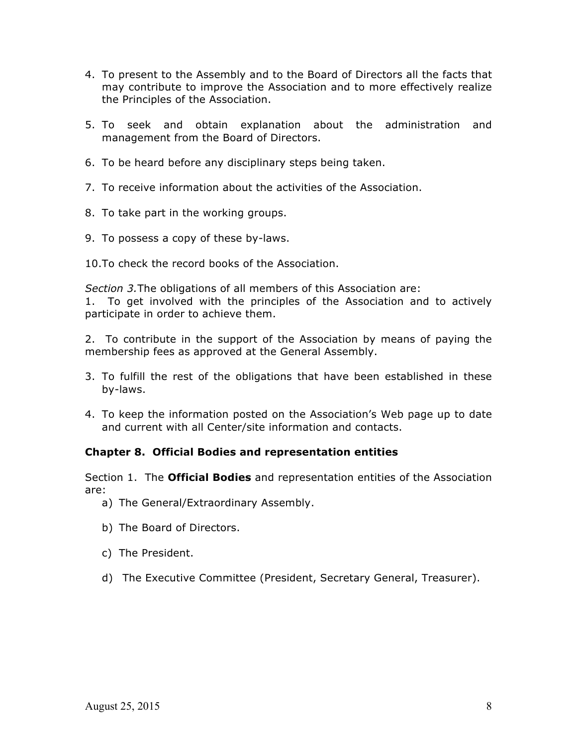- 4. To present to the Assembly and to the Board of Directors all the facts that may contribute to improve the Association and to more effectively realize the Principles of the Association.
- 5. To seek and obtain explanation about the administration and management from the Board of Directors.
- 6. To be heard before any disciplinary steps being taken.
- 7. To receive information about the activities of the Association.
- 8. To take part in the working groups.
- 9. To possess a copy of these by-laws.
- 10.To check the record books of the Association.

*Section 3.*The obligations of all members of this Association are:

1. To get involved with the principles of the Association and to actively participate in order to achieve them.

2. To contribute in the support of the Association by means of paying the membership fees as approved at the General Assembly.

- 3. To fulfill the rest of the obligations that have been established in these by-laws.
- 4. To keep the information posted on the Association's Web page up to date and current with all Center/site information and contacts.

#### **Chapter 8. Official Bodies and representation entities**

Section 1. The **Official Bodies** and representation entities of the Association are:

- a) The General/Extraordinary Assembly.
- b) The Board of Directors.
- c) The President.
- d) The Executive Committee (President, Secretary General, Treasurer).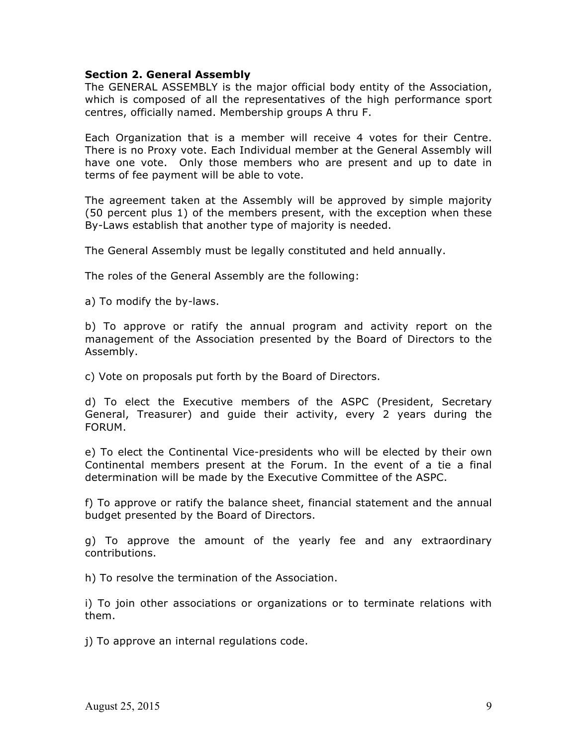#### **Section 2. General Assembly**

The GENERAL ASSEMBLY is the major official body entity of the Association, which is composed of all the representatives of the high performance sport centres, officially named. Membership groups A thru F.

Each Organization that is a member will receive 4 votes for their Centre. There is no Proxy vote. Each Individual member at the General Assembly will have one vote. Only those members who are present and up to date in terms of fee payment will be able to vote.

The agreement taken at the Assembly will be approved by simple majority (50 percent plus 1) of the members present, with the exception when these By-Laws establish that another type of majority is needed.

The General Assembly must be legally constituted and held annually.

The roles of the General Assembly are the following:

a) To modify the by-laws.

b) To approve or ratify the annual program and activity report on the management of the Association presented by the Board of Directors to the Assembly.

c) Vote on proposals put forth by the Board of Directors.

d) To elect the Executive members of the ASPC (President, Secretary General, Treasurer) and guide their activity, every 2 years during the FORUM.

e) To elect the Continental Vice-presidents who will be elected by their own Continental members present at the Forum. In the event of a tie a final determination will be made by the Executive Committee of the ASPC.

f) To approve or ratify the balance sheet, financial statement and the annual budget presented by the Board of Directors.

g) To approve the amount of the yearly fee and any extraordinary contributions.

h) To resolve the termination of the Association.

i) To join other associations or organizations or to terminate relations with them.

j) To approve an internal regulations code.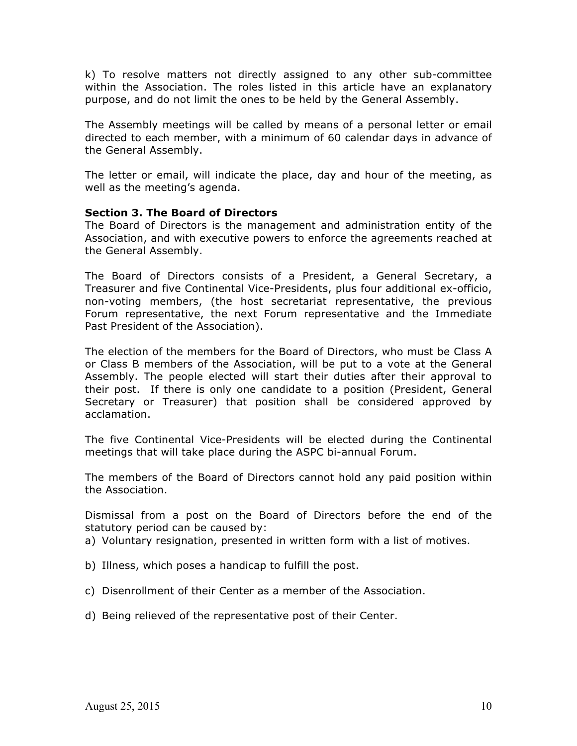k) To resolve matters not directly assigned to any other sub-committee within the Association. The roles listed in this article have an explanatory purpose, and do not limit the ones to be held by the General Assembly.

The Assembly meetings will be called by means of a personal letter or email directed to each member, with a minimum of 60 calendar days in advance of the General Assembly.

The letter or email, will indicate the place, day and hour of the meeting, as well as the meeting's agenda.

#### **Section 3. The Board of Directors**

The Board of Directors is the management and administration entity of the Association, and with executive powers to enforce the agreements reached at the General Assembly.

The Board of Directors consists of a President, a General Secretary, a Treasurer and five Continental Vice-Presidents, plus four additional ex-officio, non-voting members, (the host secretariat representative, the previous Forum representative, the next Forum representative and the Immediate Past President of the Association).

The election of the members for the Board of Directors, who must be Class A or Class B members of the Association, will be put to a vote at the General Assembly. The people elected will start their duties after their approval to their post. If there is only one candidate to a position (President, General Secretary or Treasurer) that position shall be considered approved by acclamation.

The five Continental Vice-Presidents will be elected during the Continental meetings that will take place during the ASPC bi-annual Forum.

The members of the Board of Directors cannot hold any paid position within the Association.

Dismissal from a post on the Board of Directors before the end of the statutory period can be caused by:

a) Voluntary resignation, presented in written form with a list of motives.

- b) Illness, which poses a handicap to fulfill the post.
- c) Disenrollment of their Center as a member of the Association.
- d) Being relieved of the representative post of their Center.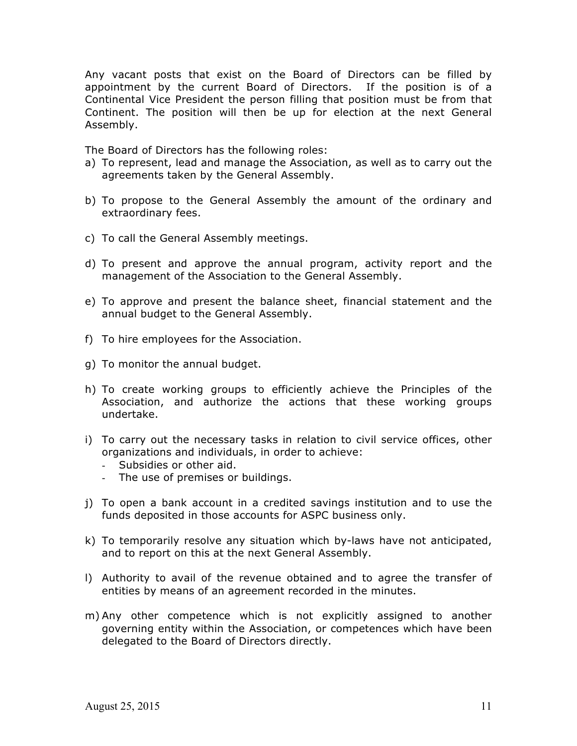Any vacant posts that exist on the Board of Directors can be filled by appointment by the current Board of Directors. If the position is of a Continental Vice President the person filling that position must be from that Continent. The position will then be up for election at the next General Assembly.

The Board of Directors has the following roles:

- a) To represent, lead and manage the Association, as well as to carry out the agreements taken by the General Assembly.
- b) To propose to the General Assembly the amount of the ordinary and extraordinary fees.
- c) To call the General Assembly meetings.
- d) To present and approve the annual program, activity report and the management of the Association to the General Assembly.
- e) To approve and present the balance sheet, financial statement and the annual budget to the General Assembly.
- f) To hire employees for the Association.
- g) To monitor the annual budget.
- h) To create working groups to efficiently achieve the Principles of the Association, and authorize the actions that these working groups undertake.
- i) To carry out the necessary tasks in relation to civil service offices, other organizations and individuals, in order to achieve:
	- Subsidies or other aid.
	- The use of premises or buildings.
- j) To open a bank account in a credited savings institution and to use the funds deposited in those accounts for ASPC business only.
- k) To temporarily resolve any situation which by-laws have not anticipated, and to report on this at the next General Assembly.
- l) Authority to avail of the revenue obtained and to agree the transfer of entities by means of an agreement recorded in the minutes.
- m) Any other competence which is not explicitly assigned to another governing entity within the Association, or competences which have been delegated to the Board of Directors directly.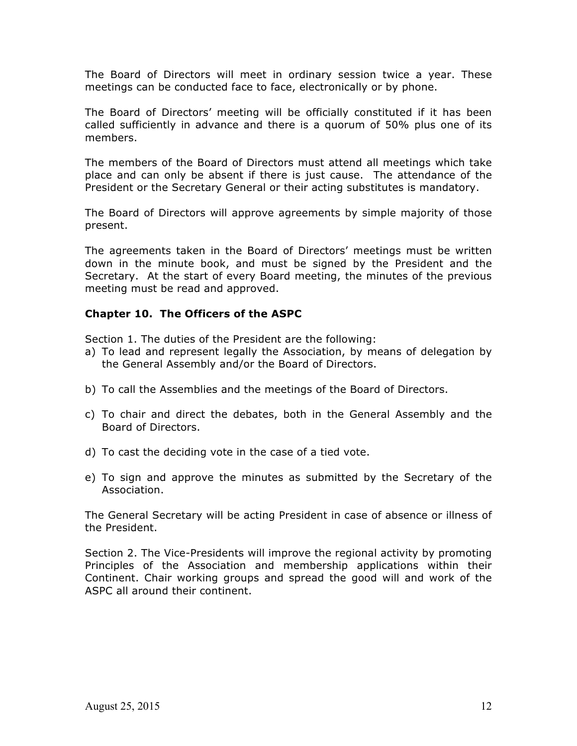The Board of Directors will meet in ordinary session twice a year. These meetings can be conducted face to face, electronically or by phone.

The Board of Directors' meeting will be officially constituted if it has been called sufficiently in advance and there is a quorum of 50% plus one of its members.

The members of the Board of Directors must attend all meetings which take place and can only be absent if there is just cause. The attendance of the President or the Secretary General or their acting substitutes is mandatory.

The Board of Directors will approve agreements by simple majority of those present.

The agreements taken in the Board of Directors' meetings must be written down in the minute book, and must be signed by the President and the Secretary. At the start of every Board meeting, the minutes of the previous meeting must be read and approved.

# **Chapter 10. The Officers of the ASPC**

Section 1. The duties of the President are the following:

- a) To lead and represent legally the Association, by means of delegation by the General Assembly and/or the Board of Directors.
- b) To call the Assemblies and the meetings of the Board of Directors.
- c) To chair and direct the debates, both in the General Assembly and the Board of Directors.
- d) To cast the deciding vote in the case of a tied vote.
- e) To sign and approve the minutes as submitted by the Secretary of the Association.

The General Secretary will be acting President in case of absence or illness of the President.

Section 2. The Vice-Presidents will improve the regional activity by promoting Principles of the Association and membership applications within their Continent. Chair working groups and spread the good will and work of the ASPC all around their continent.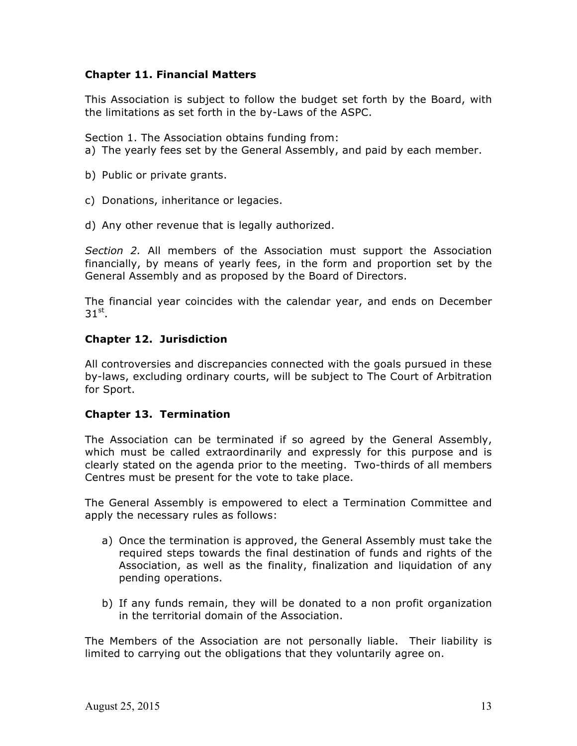# **Chapter 11. Financial Matters**

This Association is subject to follow the budget set forth by the Board, with the limitations as set forth in the by-Laws of the ASPC.

Section 1. The Association obtains funding from:

- a) The yearly fees set by the General Assembly, and paid by each member.
- b) Public or private grants.
- c) Donations, inheritance or legacies.
- d) Any other revenue that is legally authorized.

*Section 2.* All members of the Association must support the Association financially, by means of yearly fees, in the form and proportion set by the General Assembly and as proposed by the Board of Directors.

The financial year coincides with the calendar year, and ends on December  $31<sup>st</sup>$ .

# **Chapter 12. Jurisdiction**

All controversies and discrepancies connected with the goals pursued in these by-laws, excluding ordinary courts, will be subject to The Court of Arbitration for Sport.

#### **Chapter 13. Termination**

The Association can be terminated if so agreed by the General Assembly, which must be called extraordinarily and expressly for this purpose and is clearly stated on the agenda prior to the meeting. Two-thirds of all members Centres must be present for the vote to take place.

The General Assembly is empowered to elect a Termination Committee and apply the necessary rules as follows:

- a) Once the termination is approved, the General Assembly must take the required steps towards the final destination of funds and rights of the Association, as well as the finality, finalization and liquidation of any pending operations.
- b) If any funds remain, they will be donated to a non profit organization in the territorial domain of the Association.

The Members of the Association are not personally liable. Their liability is limited to carrying out the obligations that they voluntarily agree on.